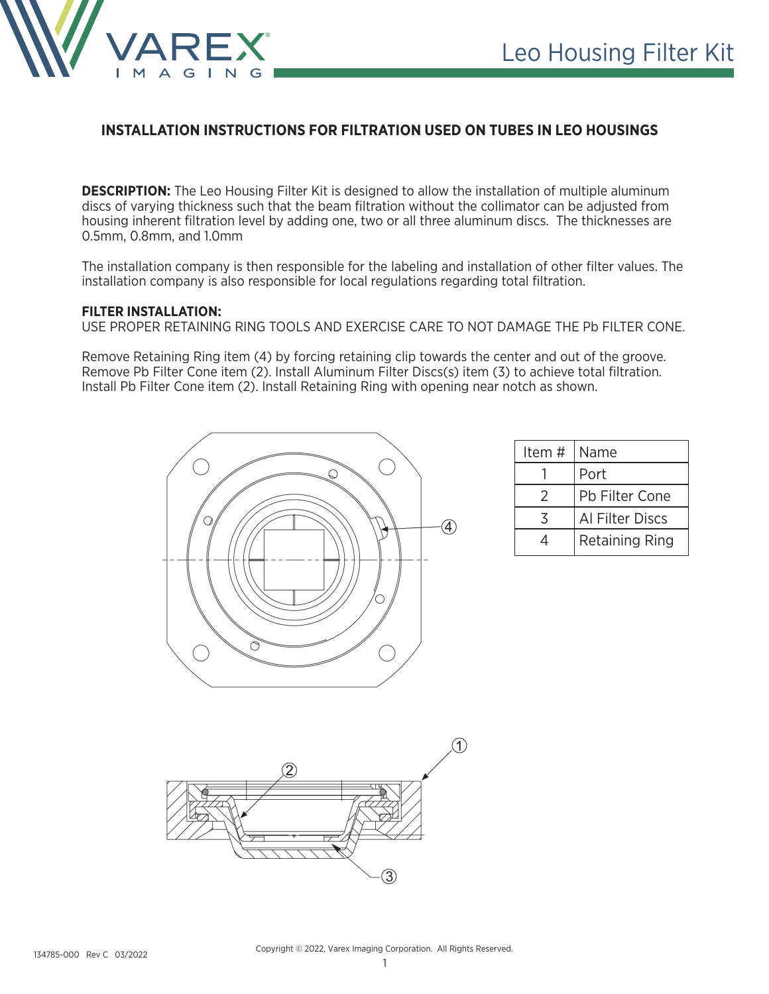

## **INSTALLATION INSTRUCTIONS FOR FILTRATION USED ON TUBES IN LEO HOUSINGS**

**DESCRIPTION:** The Leo Housing Filter Kit is designed to allow the installation of multiple aluminum discs of varying thickness such that the beam filtration without the collimator can be adjusted from housing inherent filtration level by adding one, two or all three aluminum discs. The thicknesses are 0.5mm, 0.8mm, and 1.0mm

The installation company is then responsible for the labeling and installation of other filter values. The installation company is also responsible for local regulations regarding total filtration.

## **FILTER INSTALLATION:**

USE PROPER RETAINING RING TOOLS AND EXERCISE CARE TO NOT DAMAGE THE Pb FILTER CONE.

Remove Retaining Ring item (4) by forcing retaining clip towards the center and out of the groove. Remove Pb Filter Cone item (2). Install Aluminum Filter Discs(s) item (3) to achieve total filtration. Install Pb Filter Cone item (2). Install Retaining Ring with opening near notch as shown.



| Item # | Name                  |
|--------|-----------------------|
|        | Port                  |
| 2      | Pb Filter Cone        |
| マ      | Al Filter Discs       |
| 4      | <b>Retaining Ring</b> |